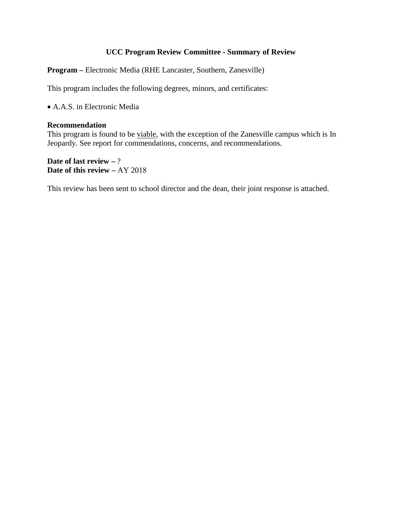# **UCC Program Review Committee - Summary of Review**

**Program –** Electronic Media (RHE Lancaster, Southern, Zanesville)

This program includes the following degrees, minors, and certificates:

• A.A.S. in Electronic Media

## **Recommendation**

This program is found to be viable, with the exception of the Zanesville campus which is In Jeopardy. See report for commendations, concerns, and recommendations.

**Date of last review –** ? **Date of this review –** AY 2018

This review has been sent to school director and the dean, their joint response is attached.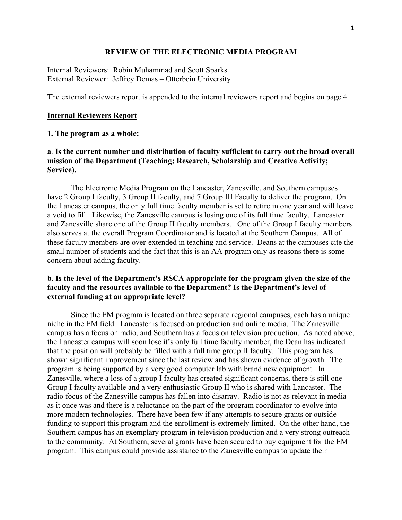#### **REVIEW OF THE ELECTRONIC MEDIA PROGRAM**

Internal Reviewers: Robin Muhammad and Scott Sparks External Reviewer: Jeffrey Demas – Otterbein University

The external reviewers report is appended to the internal reviewers report and begins on page 4.

#### **Internal Reviewers Report**

#### **1. The program as a whole:**

# **a**. **Is the current number and distribution of faculty sufficient to carry out the broad overall mission of the Department (Teaching; Research, Scholarship and Creative Activity; Service).**

 The Electronic Media Program on the Lancaster, Zanesville, and Southern campuses have 2 Group I faculty, 3 Group II faculty, and 7 Group III Faculty to deliver the program. On the Lancaster campus, the only full time faculty member is set to retire in one year and will leave a void to fill. Likewise, the Zanesville campus is losing one of its full time faculty. Lancaster and Zanesville share one of the Group II faculty members. One of the Group I faculty members also serves at the overall Program Coordinator and is located at the Southern Campus. All of these faculty members are over-extended in teaching and service. Deans at the campuses cite the small number of students and the fact that this is an AA program only as reasons there is some concern about adding faculty.

# **b**. **Is the level of the Department's RSCA appropriate for the program given the size of the faculty and the resources available to the Department? Is the Department's level of external funding at an appropriate level?**

 Since the EM program is located on three separate regional campuses, each has a unique niche in the EM field. Lancaster is focused on production and online media. The Zanesville campus has a focus on radio, and Southern has a focus on television production. As noted above, the Lancaster campus will soon lose it's only full time faculty member, the Dean has indicated that the position will probably be filled with a full time group II faculty. This program has shown significant improvement since the last review and has shown evidence of growth. The program is being supported by a very good computer lab with brand new equipment. In Zanesville, where a loss of a group I faculty has created significant concerns, there is still one Group I faculty available and a very enthusiastic Group II who is shared with Lancaster. The radio focus of the Zanesville campus has fallen into disarray. Radio is not as relevant in media as it once was and there is a reluctance on the part of the program coordinator to evolve into more modern technologies. There have been few if any attempts to secure grants or outside funding to support this program and the enrollment is extremely limited. On the other hand, the Southern campus has an exemplary program in television production and a very strong outreach to the community. At Southern, several grants have been secured to buy equipment for the EM program. This campus could provide assistance to the Zanesville campus to update their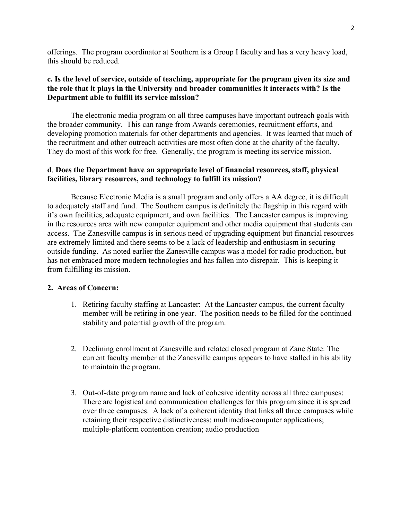offerings. The program coordinator at Southern is a Group I faculty and has a very heavy load, this should be reduced.

# **c. Is the level of service, outside of teaching, appropriate for the program given its size and the role that it plays in the University and broader communities it interacts with? Is the Department able to fulfill its service mission?**

 The electronic media program on all three campuses have important outreach goals with the broader community. This can range from Awards ceremonies, recruitment efforts, and developing promotion materials for other departments and agencies. It was learned that much of the recruitment and other outreach activities are most often done at the charity of the faculty. They do most of this work for free. Generally, the program is meeting its service mission.

# **d**. **Does the Department have an appropriate level of financial resources, staff, physical facilities, library resources, and technology to fulfill its mission?**

 Because Electronic Media is a small program and only offers a AA degree, it is difficult to adequately staff and fund. The Southern campus is definitely the flagship in this regard with it's own facilities, adequate equipment, and own facilities. The Lancaster campus is improving in the resources area with new computer equipment and other media equipment that students can access. The Zanesville campus is in serious need of upgrading equipment but financial resources are extremely limited and there seems to be a lack of leadership and enthusiasm in securing outside funding. As noted earlier the Zanesville campus was a model for radio production, but has not embraced more modern technologies and has fallen into disrepair. This is keeping it from fulfilling its mission.

## **2. Areas of Concern:**

- 1. Retiring faculty staffing at Lancaster: At the Lancaster campus, the current faculty member will be retiring in one year. The position needs to be filled for the continued stability and potential growth of the program.
- 2. Declining enrollment at Zanesville and related closed program at Zane State: The current faculty member at the Zanesville campus appears to have stalled in his ability to maintain the program.
- 3. Out-of-date program name and lack of cohesive identity across all three campuses: There are logistical and communication challenges for this program since it is spread over three campuses. A lack of a coherent identity that links all three campuses while retaining their respective distinctiveness: multimedia-computer applications; multiple-platform contention creation; audio production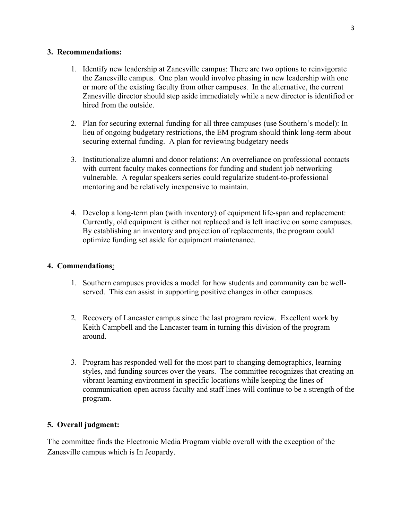# **3. Recommendations:**

- 1. Identify new leadership at Zanesville campus: There are two options to reinvigorate the Zanesville campus. One plan would involve phasing in new leadership with one or more of the existing faculty from other campuses. In the alternative, the current Zanesville director should step aside immediately while a new director is identified or hired from the outside.
- 2. Plan for securing external funding for all three campuses (use Southern's model): In lieu of ongoing budgetary restrictions, the EM program should think long-term about securing external funding. A plan for reviewing budgetary needs
- 3. Institutionalize alumni and donor relations: An overreliance on professional contacts with current faculty makes connections for funding and student job networking vulnerable. A regular speakers series could regularize student-to-professional mentoring and be relatively inexpensive to maintain.
- 4. Develop a long-term plan (with inventory) of equipment life-span and replacement: Currently, old equipment is either not replaced and is left inactive on some campuses. By establishing an inventory and projection of replacements, the program could optimize funding set aside for equipment maintenance.

# **4. Commendations**:

- 1. Southern campuses provides a model for how students and community can be wellserved. This can assist in supporting positive changes in other campuses.
- 2. Recovery of Lancaster campus since the last program review. Excellent work by Keith Campbell and the Lancaster team in turning this division of the program around.
- 3. Program has responded well for the most part to changing demographics, learning styles, and funding sources over the years. The committee recognizes that creating an vibrant learning environment in specific locations while keeping the lines of communication open across faculty and staff lines will continue to be a strength of the program.

# **5. Overall judgment:**

The committee finds the Electronic Media Program viable overall with the exception of the Zanesville campus which is In Jeopardy.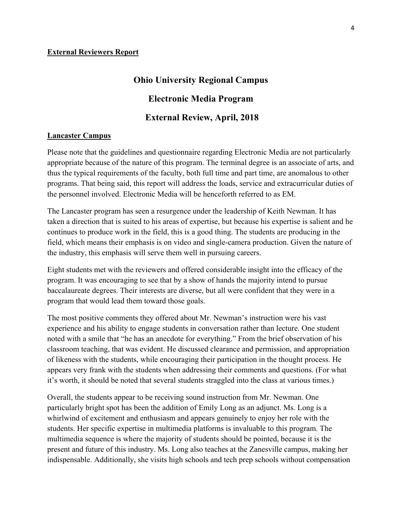#### **External Reviewers Report**

# **Ohio University Regional Campus Electronic Media Program External Review, April, 2018**

#### **Lancaster Campus**

Please note that the guidelines and questionnaire regarding Electronic Media are not particularly appropriate because of the nature of this program. The terminal degree is an associate of arts, and thus the typical requirements of the faculty, both full time and part time, are anomalous to other programs. That being said, this report will address the loads, service and extracurricular duties of the personnel involved. Electronic Media will be henceforth referred to as EM.

The Lancaster program has seen a resurgence under the leadership of Keith Newman. It has taken a direction that is suited to his areas of expertise, but because his expertise is salient and he continues to produce work in the field, this is a good thing. The students are producing in the field, which means their emphasis is on video and single-camera production. Given the nature of the industry, this emphasis will serve them well in pursuing careers.

Eight students met with the reviewers and offered considerable insight into the efficacy of the program. It was encouraging to see that by a show of hands the majority intend to pursue baccalaureate degrees. Their interests are diverse, but all were confident that they were in a program that would lead them toward those goals.

The most positive comments they offered about Mr. Newman's instruction were his vast experience and his ability to engage students in conversation rather than lecture. One student noted with a smile that "he has an anecdote for everything." From the brief observation of his classroom teaching, that was evident. He discussed clearance and permission, and appropriation of likeness with the students, while encouraging their participation in the thought process. He appears very frank with the students when addressing their comments and questions. (For what it's worth, it should be noted that several students straggled into the class at various times.)

Overall, the students appear to be receiving sound instruction from Mr. Newman. One particularly bright spot has been the addition of Emily Long as an adjunct. Ms. Long is a whirlwind of excitement and enthusiasm and appears genuinely to enjoy her role with the students. Her specific expertise in multimedia platforms is invaluable to this program. The multimedia sequence is where the majority of students should be pointed, because it is the present and future of this industry. Ms. Long also teaches at the Zanesville campus, making her indispensable. Additionally, she visits high schools and tech prep schools without compensation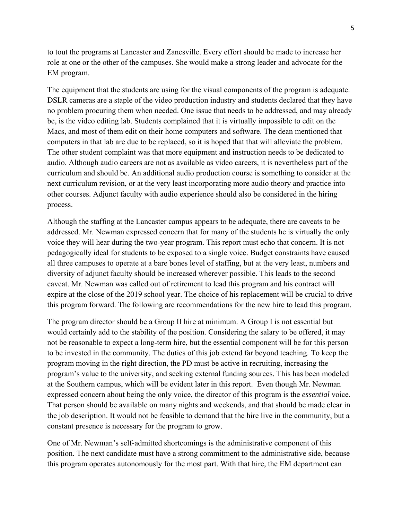to tout the programs at Lancaster and Zanesville. Every effort should be made to increase her role at one or the other of the campuses. She would make a strong leader and advocate for the EM program.

The equipment that the students are using for the visual components of the program is adequate. DSLR cameras are a staple of the video production industry and students declared that they have no problem procuring them when needed. One issue that needs to be addressed, and may already be, is the video editing lab. Students complained that it is virtually impossible to edit on the Macs, and most of them edit on their home computers and software. The dean mentioned that computers in that lab are due to be replaced, so it is hoped that that will alleviate the problem. The other student complaint was that more equipment and instruction needs to be dedicated to audio. Although audio careers are not as available as video careers, it is nevertheless part of the curriculum and should be. An additional audio production course is something to consider at the next curriculum revision, or at the very least incorporating more audio theory and practice into other courses. Adjunct faculty with audio experience should also be considered in the hiring process.

Although the staffing at the Lancaster campus appears to be adequate, there are caveats to be addressed. Mr. Newman expressed concern that for many of the students he is virtually the only voice they will hear during the two-year program. This report must echo that concern. It is not pedagogically ideal for students to be exposed to a single voice. Budget constraints have caused all three campuses to operate at a bare bones level of staffing, but at the very least, numbers and diversity of adjunct faculty should be increased wherever possible. This leads to the second caveat. Mr. Newman was called out of retirement to lead this program and his contract will expire at the close of the 2019 school year. The choice of his replacement will be crucial to drive this program forward. The following are recommendations for the new hire to lead this program.

The program director should be a Group II hire at minimum. A Group I is not essential but would certainly add to the stability of the position. Considering the salary to be offered, it may not be reasonable to expect a long-term hire, but the essential component will be for this person to be invested in the community. The duties of this job extend far beyond teaching. To keep the program moving in the right direction, the PD must be active in recruiting, increasing the program's value to the university, and seeking external funding sources. This has been modeled at the Southern campus, which will be evident later in this report. Even though Mr. Newman expressed concern about being the only voice, the director of this program is the *essential* voice. That person should be available on many nights and weekends, and that should be made clear in the job description. It would not be feasible to demand that the hire live in the community, but a constant presence is necessary for the program to grow.

One of Mr. Newman's self-admitted shortcomings is the administrative component of this position. The next candidate must have a strong commitment to the administrative side, because this program operates autonomously for the most part. With that hire, the EM department can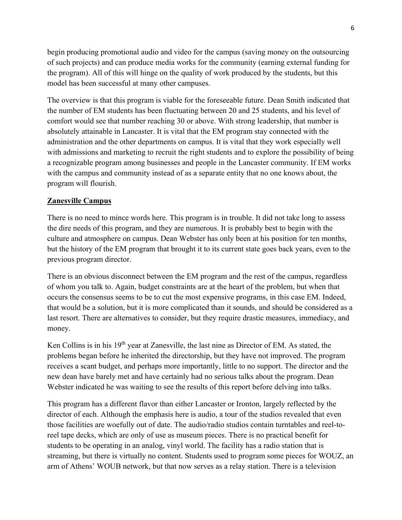begin producing promotional audio and video for the campus (saving money on the outsourcing of such projects) and can produce media works for the community (earning external funding for the program). All of this will hinge on the quality of work produced by the students, but this model has been successful at many other campuses.

The overview is that this program is viable for the foreseeable future. Dean Smith indicated that the number of EM students has been fluctuating between 20 and 25 students, and his level of comfort would see that number reaching 30 or above. With strong leadership, that number is absolutely attainable in Lancaster. It is vital that the EM program stay connected with the administration and the other departments on campus. It is vital that they work especially well with admissions and marketing to recruit the right students and to explore the possibility of being a recognizable program among businesses and people in the Lancaster community. If EM works with the campus and community instead of as a separate entity that no one knows about, the program will flourish.

## **Zanesville Campus**

There is no need to mince words here. This program is in trouble. It did not take long to assess the dire needs of this program, and they are numerous. It is probably best to begin with the culture and atmosphere on campus. Dean Webster has only been at his position for ten months, but the history of the EM program that brought it to its current state goes back years, even to the previous program director.

There is an obvious disconnect between the EM program and the rest of the campus, regardless of whom you talk to. Again, budget constraints are at the heart of the problem, but when that occurs the consensus seems to be to cut the most expensive programs, in this case EM. Indeed, that would be a solution, but it is more complicated than it sounds, and should be considered as a last resort. There are alternatives to consider, but they require drastic measures, immediacy, and money.

Ken Collins is in his 19<sup>th</sup> year at Zanesville, the last nine as Director of EM. As stated, the problems began before he inherited the directorship, but they have not improved. The program receives a scant budget, and perhaps more importantly, little to no support. The director and the new dean have barely met and have certainly had no serious talks about the program. Dean Webster indicated he was waiting to see the results of this report before delving into talks.

This program has a different flavor than either Lancaster or Ironton, largely reflected by the director of each. Although the emphasis here is audio, a tour of the studios revealed that even those facilities are woefully out of date. The audio/radio studios contain turntables and reel-toreel tape decks, which are only of use as museum pieces. There is no practical benefit for students to be operating in an analog, vinyl world. The facility has a radio station that is streaming, but there is virtually no content. Students used to program some pieces for WOUZ, an arm of Athens' WOUB network, but that now serves as a relay station. There is a television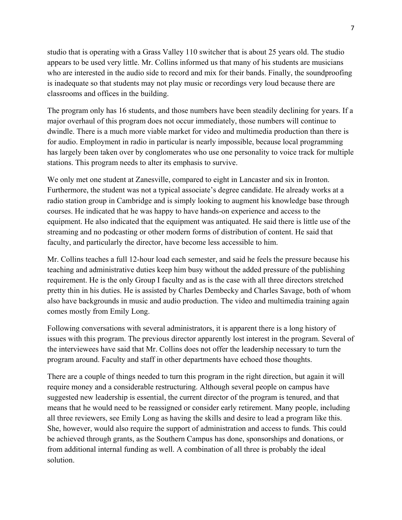studio that is operating with a Grass Valley 110 switcher that is about 25 years old. The studio appears to be used very little. Mr. Collins informed us that many of his students are musicians who are interested in the audio side to record and mix for their bands. Finally, the soundproofing is inadequate so that students may not play music or recordings very loud because there are classrooms and offices in the building.

The program only has 16 students, and those numbers have been steadily declining for years. If a major overhaul of this program does not occur immediately, those numbers will continue to dwindle. There is a much more viable market for video and multimedia production than there is for audio. Employment in radio in particular is nearly impossible, because local programming has largely been taken over by conglomerates who use one personality to voice track for multiple stations. This program needs to alter its emphasis to survive.

We only met one student at Zanesville, compared to eight in Lancaster and six in Ironton. Furthermore, the student was not a typical associate's degree candidate. He already works at a radio station group in Cambridge and is simply looking to augment his knowledge base through courses. He indicated that he was happy to have hands-on experience and access to the equipment. He also indicated that the equipment was antiquated. He said there is little use of the streaming and no podcasting or other modern forms of distribution of content. He said that faculty, and particularly the director, have become less accessible to him.

Mr. Collins teaches a full 12-hour load each semester, and said he feels the pressure because his teaching and administrative duties keep him busy without the added pressure of the publishing requirement. He is the only Group I faculty and as is the case with all three directors stretched pretty thin in his duties. He is assisted by Charles Dembecky and Charles Savage, both of whom also have backgrounds in music and audio production. The video and multimedia training again comes mostly from Emily Long.

Following conversations with several administrators, it is apparent there is a long history of issues with this program. The previous director apparently lost interest in the program. Several of the interviewees have said that Mr. Collins does not offer the leadership necessary to turn the program around. Faculty and staff in other departments have echoed those thoughts.

There are a couple of things needed to turn this program in the right direction, but again it will require money and a considerable restructuring. Although several people on campus have suggested new leadership is essential, the current director of the program is tenured, and that means that he would need to be reassigned or consider early retirement. Many people, including all three reviewers, see Emily Long as having the skills and desire to lead a program like this. She, however, would also require the support of administration and access to funds. This could be achieved through grants, as the Southern Campus has done, sponsorships and donations, or from additional internal funding as well. A combination of all three is probably the ideal solution.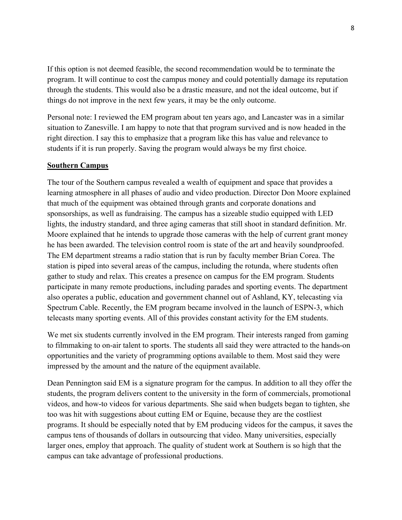If this option is not deemed feasible, the second recommendation would be to terminate the program. It will continue to cost the campus money and could potentially damage its reputation through the students. This would also be a drastic measure, and not the ideal outcome, but if things do not improve in the next few years, it may be the only outcome.

Personal note: I reviewed the EM program about ten years ago, and Lancaster was in a similar situation to Zanesville. I am happy to note that that program survived and is now headed in the right direction. I say this to emphasize that a program like this has value and relevance to students if it is run properly. Saving the program would always be my first choice.

## **Southern Campus**

The tour of the Southern campus revealed a wealth of equipment and space that provides a learning atmosphere in all phases of audio and video production. Director Don Moore explained that much of the equipment was obtained through grants and corporate donations and sponsorships, as well as fundraising. The campus has a sizeable studio equipped with LED lights, the industry standard, and three aging cameras that still shoot in standard definition. Mr. Moore explained that he intends to upgrade those cameras with the help of current grant money he has been awarded. The television control room is state of the art and heavily soundproofed. The EM department streams a radio station that is run by faculty member Brian Corea. The station is piped into several areas of the campus, including the rotunda, where students often gather to study and relax. This creates a presence on campus for the EM program. Students participate in many remote productions, including parades and sporting events. The department also operates a public, education and government channel out of Ashland, KY, telecasting via Spectrum Cable. Recently, the EM program became involved in the launch of ESPN-3, which telecasts many sporting events. All of this provides constant activity for the EM students.

We met six students currently involved in the EM program. Their interests ranged from gaming to filmmaking to on-air talent to sports. The students all said they were attracted to the hands-on opportunities and the variety of programming options available to them. Most said they were impressed by the amount and the nature of the equipment available.

Dean Pennington said EM is a signature program for the campus. In addition to all they offer the students, the program delivers content to the university in the form of commercials, promotional videos, and how-to videos for various departments. She said when budgets began to tighten, she too was hit with suggestions about cutting EM or Equine, because they are the costliest programs. It should be especially noted that by EM producing videos for the campus, it saves the campus tens of thousands of dollars in outsourcing that video. Many universities, especially larger ones, employ that approach. The quality of student work at Southern is so high that the campus can take advantage of professional productions.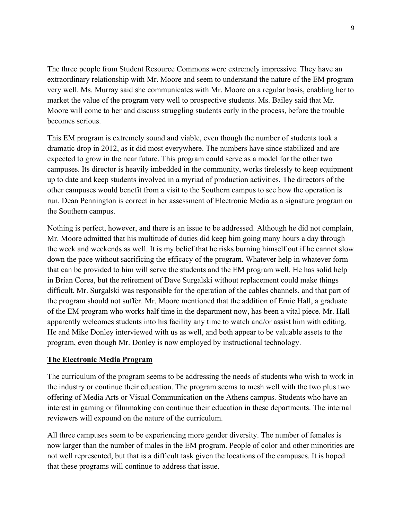The three people from Student Resource Commons were extremely impressive. They have an extraordinary relationship with Mr. Moore and seem to understand the nature of the EM program very well. Ms. Murray said she communicates with Mr. Moore on a regular basis, enabling her to market the value of the program very well to prospective students. Ms. Bailey said that Mr. Moore will come to her and discuss struggling students early in the process, before the trouble becomes serious.

This EM program is extremely sound and viable, even though the number of students took a dramatic drop in 2012, as it did most everywhere. The numbers have since stabilized and are expected to grow in the near future. This program could serve as a model for the other two campuses. Its director is heavily imbedded in the community, works tirelessly to keep equipment up to date and keep students involved in a myriad of production activities. The directors of the other campuses would benefit from a visit to the Southern campus to see how the operation is run. Dean Pennington is correct in her assessment of Electronic Media as a signature program on the Southern campus.

Nothing is perfect, however, and there is an issue to be addressed. Although he did not complain, Mr. Moore admitted that his multitude of duties did keep him going many hours a day through the week and weekends as well. It is my belief that he risks burning himself out if he cannot slow down the pace without sacrificing the efficacy of the program. Whatever help in whatever form that can be provided to him will serve the students and the EM program well. He has solid help in Brian Corea, but the retirement of Dave Surgalski without replacement could make things difficult. Mr. Surgalski was responsible for the operation of the cables channels, and that part of the program should not suffer. Mr. Moore mentioned that the addition of Ernie Hall, a graduate of the EM program who works half time in the department now, has been a vital piece. Mr. Hall apparently welcomes students into his facility any time to watch and/or assist him with editing. He and Mike Donley interviewed with us as well, and both appear to be valuable assets to the program, even though Mr. Donley is now employed by instructional technology.

# **The Electronic Media Program**

The curriculum of the program seems to be addressing the needs of students who wish to work in the industry or continue their education. The program seems to mesh well with the two plus two offering of Media Arts or Visual Communication on the Athens campus. Students who have an interest in gaming or filmmaking can continue their education in these departments. The internal reviewers will expound on the nature of the curriculum.

All three campuses seem to be experiencing more gender diversity. The number of females is now larger than the number of males in the EM program. People of color and other minorities are not well represented, but that is a difficult task given the locations of the campuses. It is hoped that these programs will continue to address that issue.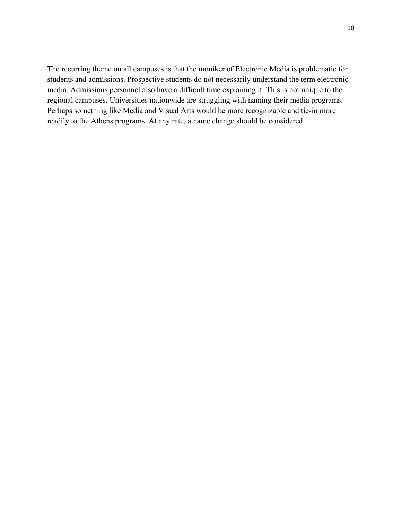The recurring theme on all campuses is that the moniker of Electronic Media is problematic for students and admissions. Prospective students do not necessarily understand the term electronic media. Admissions personnel also have a difficult time explaining it. This is not unique to the regional campuses. Universities nationwide are struggling with naming their media programs. Perhaps something like Media and Visual Arts would be more recognizable and tie-in more readily to the Athens programs. At any rate, a name change should be considered.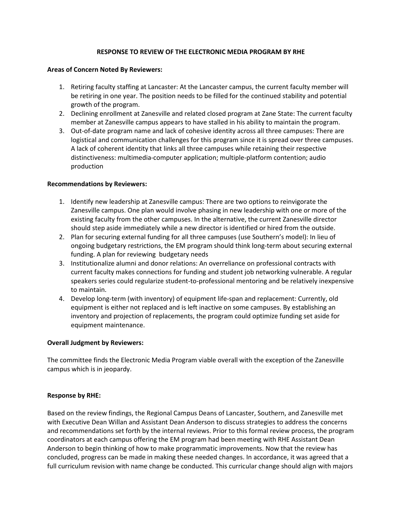## **RESPONSE TO REVIEW OF THE ELECTRONIC MEDIA PROGRAM BY RHE**

#### **Areas of Concern Noted By Reviewers:**

- 1. Retiring faculty staffing at Lancaster: At the Lancaster campus, the current faculty member will be retiring in one year. The position needs to be filled for the continued stability and potential growth of the program.
- 2. Declining enrollment at Zanesville and related closed program at Zane State: The current faculty member at Zanesville campus appears to have stalled in his ability to maintain the program.
- 3. Out-of-date program name and lack of cohesive identity across all three campuses: There are logistical and communication challenges for this program since it is spread over three campuses. A lack of coherent identity that links all three campuses while retaining their respective distinctiveness: multimedia-computer application; multiple-platform contention; audio production

## **Recommendations by Reviewers:**

- 1. Identify new leadership at Zanesville campus: There are two options to reinvigorate the Zanesville campus. One plan would involve phasing in new leadership with one or more of the existing faculty from the other campuses. In the alternative, the current Zanesville director should step aside immediately while a new director is identified or hired from the outside.
- 2. Plan for securing external funding for all three campuses (use Southern's model): In lieu of ongoing budgetary restrictions, the EM program should think long-term about securing external funding. A plan for reviewing budgetary needs
- 3. Institutionalize alumni and donor relations: An overreliance on professional contracts with current faculty makes connections for funding and student job networking vulnerable. A regular speakers series could regularize student-to-professional mentoring and be relatively inexpensive to maintain.
- 4. Develop long-term (with inventory) of equipment life-span and replacement: Currently, old equipment is either not replaced and is left inactive on some campuses. By establishing an inventory and projection of replacements, the program could optimize funding set aside for equipment maintenance.

## **Overall Judgment by Reviewers:**

The committee finds the Electronic Media Program viable overall with the exception of the Zanesville campus which is in jeopardy.

## **Response by RHE:**

Based on the review findings, the Regional Campus Deans of Lancaster, Southern, and Zanesville met with Executive Dean Willan and Assistant Dean Anderson to discuss strategies to address the concerns and recommendations set forth by the internal reviews. Prior to this formal review process, the program coordinators at each campus offering the EM program had been meeting with RHE Assistant Dean Anderson to begin thinking of how to make programmatic improvements. Now that the review has concluded, progress can be made in making these needed changes. In accordance, it was agreed that a full curriculum revision with name change be conducted. This curricular change should align with majors